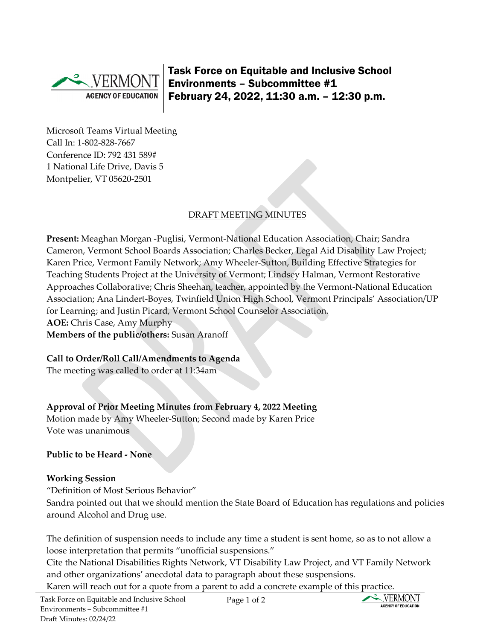

Task Force on Equitable and Inclusive School Environments – Subcommittee #1 February 24, 2022, 11:30 a.m. – 12:30 p.m.

Microsoft Teams Virtual Meeting Call In: [1-802-828-7667](about:blank)  Conference ID: 792 431 589# 1 National Life Drive, Davis 5 Montpelier, VT 05620-2501

#### DRAFT MEETING MINUTES

**Present:** Meaghan Morgan -Puglisi, Vermont-National Education Association, Chair; Sandra Cameron, Vermont School Boards Association; Charles Becker, Legal Aid Disability Law Project; Karen Price, Vermont Family Network; Amy Wheeler-Sutton, Building Effective Strategies for Teaching Students Project at the University of Vermont; Lindsey Halman, Vermont Restorative Approaches Collaborative; Chris Sheehan, teacher, appointed by the Vermont-National Education Association; Ana Lindert-Boyes, Twinfield Union High School, Vermont Principals' Association/UP for Learning; and Justin Picard, Vermont School Counselor Association. **AOE:** Chris Case, Amy Murphy **Members of the public/others:** Susan Aranoff

# **Call to Order/Roll Call/Amendments to Agenda**

The meeting was called to order at 11:34am

## **Approval of Prior Meeting Minutes from February 4, 2022 Meeting**

Motion made by Amy Wheeler-Sutton; Second made by Karen Price Vote was unanimous

**Public to be Heard - None**

## **Working Session**

"Definition of Most Serious Behavior"

Sandra pointed out that we should mention the State Board of Education has regulations and policies around Alcohol and Drug use.

The definition of suspension needs to include any time a student is sent home, so as to not allow a loose interpretation that permits "unofficial suspensions."

Cite the National Disabilities Rights Network, VT Disability Law Project, and VT Family Network and other organizations' anecdotal data to paragraph about these suspensions.

Karen will reach out for a quote from a parent to add a concrete example of this practice.

Task Force on Equitable and Inclusive School Environments – Subcommittee #1 Draft Minutes: 02/24/22

Page 1 of 2